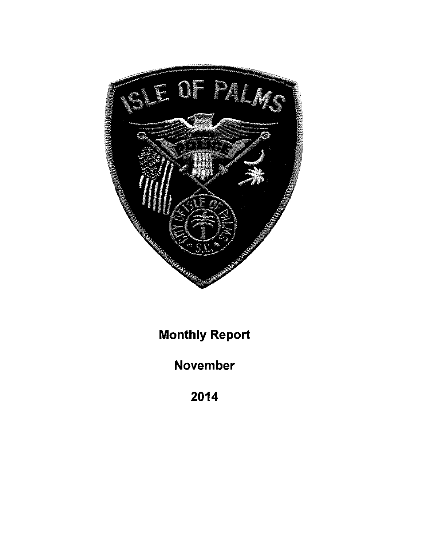

**Monthly Report** 

November

2014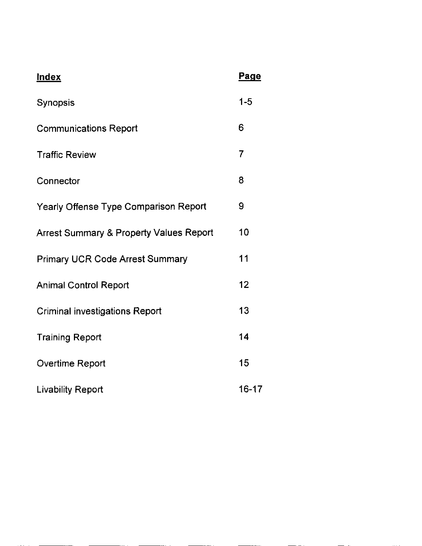| <b>Index</b>                                       | <b>Page</b> |
|----------------------------------------------------|-------------|
| Synopsis                                           | $1 - 5$     |
| <b>Communications Report</b>                       | 6           |
| <b>Traffic Review</b>                              | 7           |
| Connector                                          | 8           |
| Yearly Offense Type Comparison Report              | 9           |
| <b>Arrest Summary &amp; Property Values Report</b> | 10          |
| <b>Primary UCR Code Arrest Summary</b>             | 11          |
| <b>Animal Control Report</b>                       | 12          |
| <b>Criminal investigations Report</b>              | 13          |
| <b>Training Report</b>                             | 14          |
| <b>Overtime Report</b>                             | 15          |
| <b>Livability Report</b>                           | $16 - 17$   |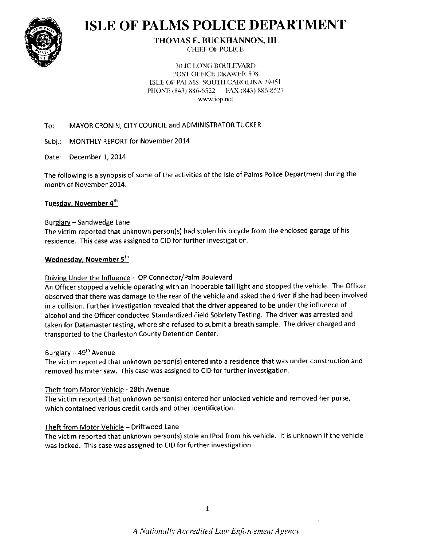

# **ISLE OF PALMS POLICE DEPARTMENT**

THOMAS E. BUCKHANNON, III CHIEF OF POLICE

30 JC LONG BOULEVARD POST OFFICE DRAWER 508 **ISLE OF PALMS. SOUTH CAROLINA 29451** PHONE (843) 886-6522 PAX (843) 886-8527 www.iop.net

#### MAYOR CRONIN, CITY COUNCIL and ADMINISTRATOR TUCKER To:

Subj.: MONTHLY REPORT for Novemb

Date: December 1, 2014

The following is a synopsis of some of the activities of the Isle of Palms Police Department during the month of November 2014.

#### Tuesday, November 4<sup>th</sup>

#### Burglarv - Sandwedge Lane

The victim reported that unknown person(s) had stolen his bicycle from the enclosed garage of his residence. This case was assigned to CID for further investigation.

#### Wednesday, November 5<sup>th</sup>

#### Driving Under the Influence - IOP Connector/Palm Boulevard

An Officer stopped a vehicle operating with an inoperable tail light and stopped the vehicle. The Officer observed that there was damage to the rear of the vehicle and asked the driver if she had been involved in a collision. Further investigation revealed that the driver appeared to be under the influence of alcohol and the Officer conducted Standardized Field Sobriety Testing. The driver was arrested and taken for Datamaster testing, where she refused to submit a breath sample. The driver charged and transported to the Charleston County Detention Center.

#### Burglary  $-49<sup>th</sup>$  Avenue

The victim reported that unknown person(s) entered into a residence that was under construction and removed his miter saw. This case was assigned to CID for further investigation.

#### Theft from Motor Vehicle - 28th Avenue

The victim reported that unknown person(s) entered her unlocked vehicle and removed her purse, which contained various credit cards and other identification.

#### Theft from Motor Vehicle - Driftwood Lane

The victim reported that unknown person(s) stole an IPod from his vehicle. It is unknown if the vehicle was locked. This case was assigned to CID for further investigation.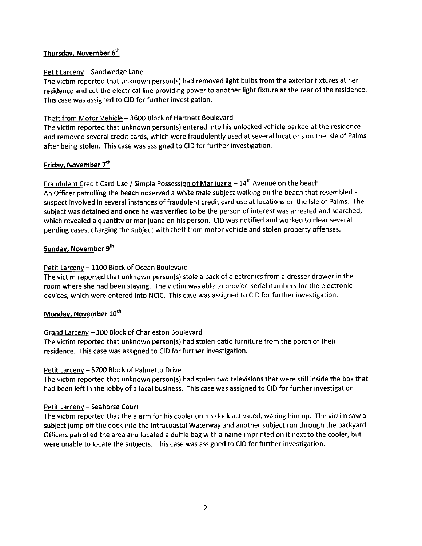### Thursday, November 6<sup>th</sup>

#### Petit Larceny - Sandwedge Lane

The victim reported that unknown person(s) had removed light bulbs from the exterior fixtures at her residence and cut the electrical line providing power to another light fixture at the rear of the residence. This case was assigned to CID for further investigation.

#### Theft from Motor Vehicle - 3600 Block of Hartnett Boulevard

The victim reported that unknown person(s) entered into his unlocked vehicle parked at the residence and removed several credit cards, which were fraudulently used at several locations on the lsle of Palms after being stolen. This case was assigned to CID for further investigation.

#### Friday, November 7th

Fraudulent Credit Card Use / Simple Possession of Marijuana  $-14<sup>th</sup>$  Avenue on the beach An Officer patrolling the beach observed awhite male subject walking on the beach that resembled a suspect involved in several instances of fraudulent credit card use at locations on the Isle of Palms. The subiect was detained and once he was verified to be the person of interest was arrested and searched, which revealed a quantity of marijuana on his person. CID was notified and worked to clear several pending cases, charging the subject with theft from motor vehicle and stolen property offenses.

#### Sunday, November 9<sup>th</sup>

#### Petit Larceny - 1100 Block of Ocean Boulevard

The victim reported that unknown person(s) stole a back of electronics from a dresser drawer in the room where she had been staying. The victim was able to provide serial numbers for the electronic devices, which were entered into NCIC. This case was assigned to CID for further investigation.

#### Monday, November 10<sup>th</sup>

#### Grand Larceny - 100 Block of Charleston Boulevard

The victim reported that unknown person(s) had stolen patio furniture from the porch of their residence. This case was assigned to CID for further investigation.

#### Petit Larceny - 5700 Block of Palmetto Drive

The victim reported that unknown person(s) had stolen two televisions that were still inside the box that had been left in the lobby of a local business. This case was assigned to CID for further investigation.

#### Petit Larceny - Seahorse Court

The victim reported that the alarm for his cooler on his dock activated, waking him up. The victim saw a subject jump off the dock into the Intracoastal Waterway and another subject run through the backyard. Officers patrolled the area and located a duffle bag with a name imprinted on it next to the cooler, but were unable to locate the subjects. This case was assigned to CID for further investigation.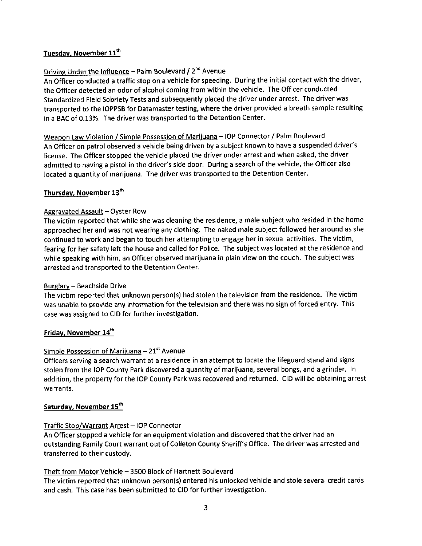#### Tuesday, November 11th

## Driving Under the Influence - Palm Boulevard / 2<sup>nd</sup> Avenue

An Officer conducted a traffic stop on a vehicle for speeding. During the initial contact with the driver, the Officer detected an odor of alcohol coming from within the vehicle. The Officer conducted Standardized Field Sobriety Tests and subsequently placed the driver under arrest. The driver was transported to the IOPPSB for Datamaster testing, where the driver provided a breath sample resulting in a BAC of 0.13%. The driver was transported to the Detention Center.

Weapon Law Violation / Simple Possession of Marijuana - IOP Connector / Palm Boulevard An Officer on patrol observed a vehicle being driven by a subject known to have a suspended driver's license. The Officer stopped the vehicle placed the driver under arrest and when asked, the driver admitted to having a pistol in the driver's side door. During a search of the vehicle, the Officer also located a quantity of marijuana. The driver was transported to the Detention Center.

## Thursday, November 13<sup>th</sup>

#### Aggravated Assault - Oyster Row

The victim reported that while she was cleaning the residence, a male subject who resided in the home approached her and was not wearing any clothing. The naked male subject followed her around as she continued to work and began to touch her attempting to engage her in sexual activities. The victim, fearing for her safety left the house and called for Police. The subject was located at the residence and while speaking with him, an Officer observed marijuana in plain view on the couch. The subject was arrested and transported to the Detention Center.

#### Burglarv - Beachside Drive

The victim reported that unknown person(s) had stolen the television from the residence. The victim was unable to provide any information for the television and there was no sign of forced entry. Thls case was assigned to CID for further investigation.

#### Friday, November 14<sup>th</sup>

#### Simple Possession of Marijuana -  $21<sup>st</sup>$  Avenue

Officers serving a search warrant at a residence in an attempt to locate the lifeguard stand and signs stolen from the IOP County Park discovered a quantity of marijuana, several bongs, and a grinder. In addition, the property for the IOP County Park was recovered and returned. CID will be obtaining arrest warrants.

#### Saturday, November 15th

#### Traffic Stop/Warrant Arrest - IOP Connector

An officer stopped a vehicle for an equipment violation and discovered that the driver had an outstanding Family Court warrant out of Colleton County Sheriff's Office. The driver was arrested and transferred to their custodv.

#### Theft from Motor Vehicle - 3500 Block of Hartnett Boulevard

The victim reported that unknown person(s) entered his unlocked vehicle and stole several credit cards and cash. This case has been submitted to CID for further investigation.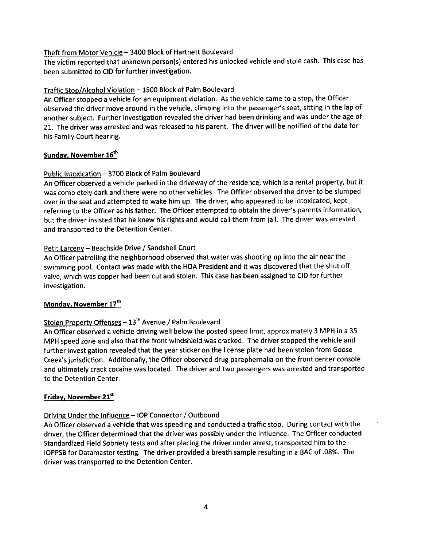#### Theft from Motor Vehicle - 3400 Block of Hartnett Boulevard

The victim reported that unknown person(s) entered his unlocked vehicle and stole cash. This case has been submitted to CID for further investigation.

## Traffic Stoo/Alcohol Violation - 1500 Block of Palm Boulevard

An Officer stopped a vehicle for an equipment violation. As the vehicle came to a stop, the Officer observed the driver move around in the vehicle, climbing into the passenger's seat, sitting in the lap of another subject. Further investigation revealed the driver had been drinking and was under the age of 21. The driver was arrested and was released to his parent. The driver will be notified of the date for his Family Court hearing.

#### Sunday, November 16<sup>th</sup>

#### Public Intoxication - 3700 Block of Palm Boulevard

An Officer observed avehicle parked in the driveway of the residence, which is a rental property, but it was completely dark and there were no other vehicles. The Officer observed the driver to be slumped over in the seat and attempted to wake him up. The driver, who appeared to be intoxicated, kept referring to the Officer as his father. The Officer attempted to obtain the driver's parents information, but the driver insisted that he knew his rights and would call them from jail. The driver was arrested and transported to the Detention Center.

#### Petit Larceny - Beachside Drive / Sandshell Court

An Officer patrolling the neighborhood observed that water was shooting up into the air near the swimming pool. Contact was made with the HOA President and it was discovered that the shut off valve, which was copper had been cut and stolen. This case has been assigned to CID for further investigation.

## Monday, November 17th

## Stolen Property Offenses - 13<sup>th</sup> Avenue / Palm Boulevard

An Officer observed avehicle driving well below the posted speed limit, approximately 3 MPH in a 35 MPH speed zone and also that the front windshleld was cracked. The driver stopped the vehicle and further investigation revealed that the year sticker on the license plate had been stolen from Goose Creek's jurisdiction. Additionally, the Officer observed drug paraphernalia on the front center console and ultimately crack cocaine was located. The driver and two passengers was arrested and transported to the Detention Center.

#### Friday, November 21st

#### Drivins Under the lnfluence - IOP Connector / Outbound

An Officer observed a vehicle that was speeding and conducted a traffic stop. During contact with the driver, the Officer determined that the driver was possibly under the influence. The Officer conducted Standardized Field Sobriety tests and after placing the driver under arrest, transported him to the IOPPSB for Datamaster testing. The driver provided abreath sample resulting in a BAC of .08%. The driver was transported to the Detention Center.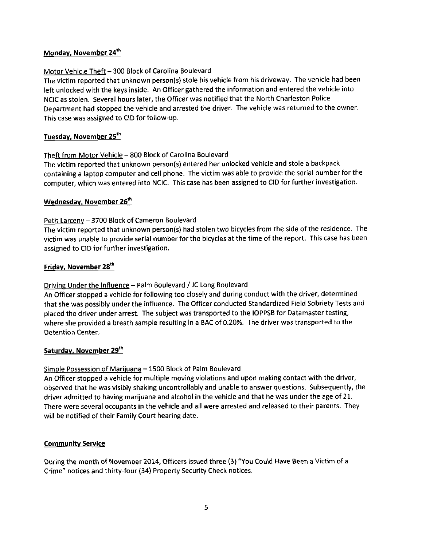#### Monday, November 24<sup>th</sup>

#### Motor Vehicle Theft - 300 Block of Carolina Boulevard

The victim reported that unknown person(s) stole his vehicle from his driveway. The vehicle had been left unlocked with the keys inside. An Officer gathered the information and entered the vehicle into NCIC as stolen. Several hours later, the Officer was notified that the North Charleston Police Department had stopped the vehicle and arrested the driver. The vehicle was returned to the owner. This case was assigned to CID for follow-up.

#### Tuesday, November 25th

#### Theft from Motor Vehicle - 800 Block of Carolina Boulevard

The victim reported that unknown person(s) entered her unlocked vehicle and stole a backpack containing a laptop computer and cell phone. The victim was able to provide the serial number for the computer, which was entered into NCIC. This case has been assigned to CID for further investigation.

#### Wednesday, November 26<sup>th</sup>

#### Petit Larcenv - 3700 Block of Cameron Boulevard

The victim reported that unknown person(s) had stolen two bicycles from the side ofthe residence. The victim was unable to provide serial number for the bicycles at the time of the report. This case has been assigned to CID for further investigation.

#### Friday, November 28<sup>th</sup>

## Driving Under the Influence - Palm Boulevard / JC Long Boulevard

An Officer stopped a vehicle for following too closely and during conduct with the driver, determined that she was possibly under the influence. The Officer conducted Standardized Field Sobriety Tests and placed the driver under arrest. The subject was transported to the IOPPSB for Datamaster testing, where she provided a breath sample resulting in a BAC of O,2O%. The driver was transported to the 0etention Center.

#### Saturday, November 29<sup>th</sup>

#### Simple Possession of Marijuana - 1500 Block of Palm Boulevard

An Officer stopped a vehicle for multiple moving violations and upon making contact with the driver, observed that he was visibly shaking uncontrollably and unable to answer questions. Subsequently, the driver admitted to having marijuana and alcohol in the vehicle and that he was under the age of 21. There were several occupants in the vehicle and all were arrested and released to their parents. They will be notified of their Family Court hearing date.

#### **Community Service**

During the month of November 2014, officers issued three (3) "You Could Have Been a Victim of a Crime" notices and thirty-four (34) Property Security Check notices.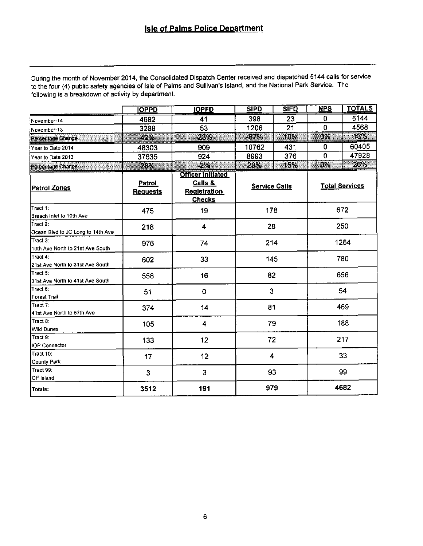During the month of November 2014, the Consolidated Dispatch Center received and dispatched 5144 calls for service to the four (4) public safety agencies of Isle of Palms and Sullivan's Island, and the National Park Service. The following is a breakdown of activity by department.

|                                                | <b>IOPPD</b>                     | <b>IOPFD</b>                                                                | <b>SIPD</b>          | <b>SIFD</b> | <b>NPS</b>     | <b>TOTALS</b>         |
|------------------------------------------------|----------------------------------|-----------------------------------------------------------------------------|----------------------|-------------|----------------|-----------------------|
| November-14                                    | 4682                             | 41                                                                          | 398                  | 23          | 0              | 5144                  |
| Navember-13                                    | 3288                             | 53                                                                          | 1206                 | 21          | $\overline{0}$ | 4568                  |
| Percentage Change                              | 42%                              | -23%                                                                        | $-67%$               | 10%         | 0%             | 13%                   |
| Year to Date 2014                              | 48303                            | 909                                                                         | 10762                | 431         | 0              | 60405                 |
| Year to Date 2013                              | 37635                            | 924                                                                         | 8993                 | 376         | 0              | 47928                 |
| Percentage Change                              | 28%                              | $-2%$<br>M                                                                  | 20%                  | 15%         | 0%             | 26%                   |
| <b>Patrol Zones</b>                            | <b>Patrol</b><br><b>Requests</b> | <b>Officer Initiated</b><br>Calls &<br><b>Registration</b><br><b>Checks</b> | <b>Service Calls</b> |             |                | <b>Total Services</b> |
| Tract 1:<br>Breach Inlet to 10th Ave           | 475                              | 19                                                                          | 178                  |             |                | 672                   |
| lTract 2:<br>Ocean Blvd to JC Long to 14th Ave | 218                              | 4                                                                           | 28                   |             |                | 250                   |
| Tract 3:<br>10th Ave North to 21st Ave South   | 976                              | 74                                                                          | 214                  |             |                | 1264                  |
| Tract 4:<br>21st Ave North to 31st Ave South   | 602                              | 33                                                                          | 145                  |             | 780            |                       |
| Tract 5:<br>31st Ave North to 41st Ave South   | 558                              | 16                                                                          | 82                   |             | 656            |                       |
| Tract 6:<br>Forest Trail                       | 51                               | 0                                                                           | 3                    |             | 54             |                       |
| Tract 7:<br>41st Ave North to 57th Ave         | 374                              | 14                                                                          | 81                   |             | 469            |                       |
| Tract 8:<br>Wild Dunes                         | 105                              | 4                                                                           | 79                   |             |                | 188                   |
| Tract 9:<br>IOP Connector                      | 133                              | 12                                                                          | 72                   |             |                | 217                   |
| Tract 10:<br>County Park                       | 17                               | 12                                                                          | 4                    |             |                | 33                    |
| Tract 99:<br>Off Island                        | 3                                | $\mathbf{3}$                                                                | 93                   |             |                | 99                    |
| Totals:                                        | 3512                             | 191                                                                         | 979                  |             |                | 4682                  |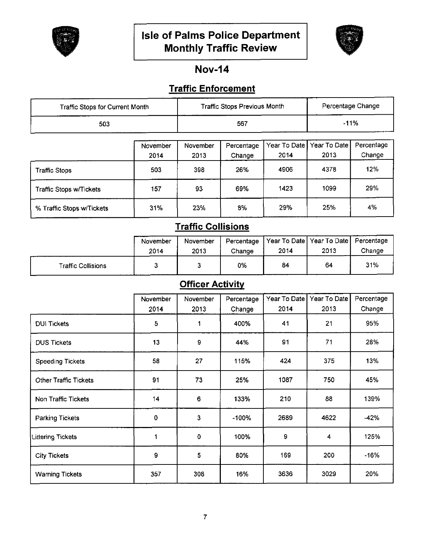



# **Nov-14**

## **Traffic Enforcement**

| <b>Traffic Stops for Current Month</b> | Traffic Stops Previous Month | Percentage Change |
|----------------------------------------|------------------------------|-------------------|
| 503                                    | 567                          | $-11%$            |

|                                | November | November | Percentage |      | Year To Date   Year To Date | Percentage |
|--------------------------------|----------|----------|------------|------|-----------------------------|------------|
|                                | 2014     | 2013     | Change     | 2014 | 2013                        | Change     |
| <b>Traffic Stops</b>           | 503      | 398      | 26%        | 4906 | 4378                        | 12%        |
| <b>Traffic Stops w/Tickets</b> | 157      | 93       | 69%        | 1423 | 1099                        | 29%        |
| % Traffic Stops w/Tickets      | 31%      | 23%      | 8%         | 29%  | 25%                         | 4%         |

# **Traffic Collisions**

|                    | November<br>2014 | November<br>2013 | Percentage<br>Change | 2014 | Year To Date   Year To Date   Percentage<br>2013 | Change |
|--------------------|------------------|------------------|----------------------|------|--------------------------------------------------|--------|
| Traffic Collisions |                  |                  | 0%                   | 84   | 64                                               | 31%    |

# **Officer Activity**

|                          | November | November | Percentage | Year To Date | Year To Date            | Percentage |
|--------------------------|----------|----------|------------|--------------|-------------------------|------------|
|                          | 2014     | 2013     | Change     | 2014         | 2013                    | Change     |
| <b>DUI Tickets</b>       | 5        | 1        | 400%       | 41           | 21                      | 95%        |
| <b>DUS Tickets</b>       | 13       | 9        | 44%        | 91           | 71                      | 28%        |
| <b>Speeding Tickets</b>  | 58       | 27       | 115%       | 424          | 375                     | 13%        |
| Other Traffic Tickets    | 91       | 73       | 25%        | 1087         | 750                     | 45%        |
| Non Traffic Tickets      | 14       | 6        | 133%       | 210          | 88                      | 139%       |
| <b>Parking Tickets</b>   | 0        | 3        | $-100%$    | 2689         | 4622                    | $-42%$     |
| <b>Littering Tickets</b> | 1        | 0        | 100%       | 9            | $\overline{\mathbf{4}}$ | 125%       |
| <b>City Tickets</b>      | 9        | 5        | 80%        | 169          | 200                     | $-16%$     |
| <b>Warning Tickets</b>   | 357      | 308      | 16%        | 3636         | 3029                    | 20%        |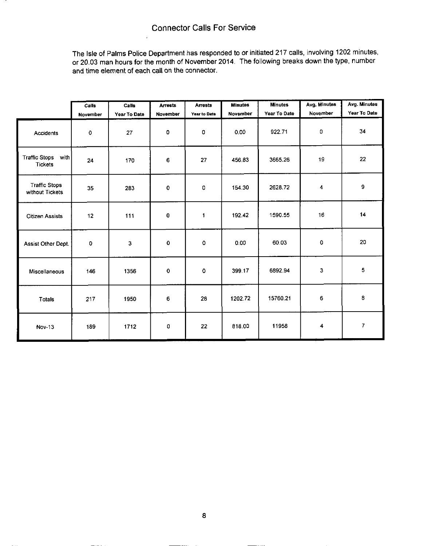The lsle of Palms Police Department has responded to or initiated 217 calls, involving 1202 minutes, or 20.03 man hours for the month of November 2014. The following breaks down the type, number and time element of each call on the connector.

|                                                | Calls    | Calls        | <b>Arrests</b> | <b>Arrests</b> | <b>Minutes</b>  | <b>Minutes</b> | Avg. Minutes            | Avg. Minutes   |
|------------------------------------------------|----------|--------------|----------------|----------------|-----------------|----------------|-------------------------|----------------|
|                                                | November | Year To Date | November       | Year to Date   | <b>November</b> | Year To Date   | November                | Year To Date   |
| <b>Accidents</b>                               | 0        | 27           | 0              | 0              | 0.00            | 922.71         | $\mathbf 0$             | 34             |
| <b>Traffic Stops</b><br>with<br><b>Tickets</b> | 24       | 170          | 6              | 27             | 456.83          | 3665.26        | 19                      | 22             |
| <b>Traffic Stops</b><br>without Tickets        | 35       | 283          | $\bullet$      | 0              | 154.30          | 2628.72        | $\overline{\mathbf{4}}$ | 9              |
| <b>Citizen Assists</b>                         | 12       | 111          | $\bf{0}$       | 1              | 192.42          | 1590.55        | 16                      | 14             |
| Assist Other Dept.                             | 0        | 3            | 0              | 0              | 0.00            | 60.03          | 0                       | 20             |
| Miscellaneous                                  | 146      | 1356         | $\mathbf 0$    | 0              | 399.17          | 6892.94        | 3                       | 5              |
| Totals                                         | 217      | 1950         | 6              | 28             | 1202.72         | 15760.21       | 6                       | 8              |
| <b>Nov-13</b>                                  | 189      | 1712         | 0              | 22             | 818.00          | 11958          | 4                       | $\overline{7}$ |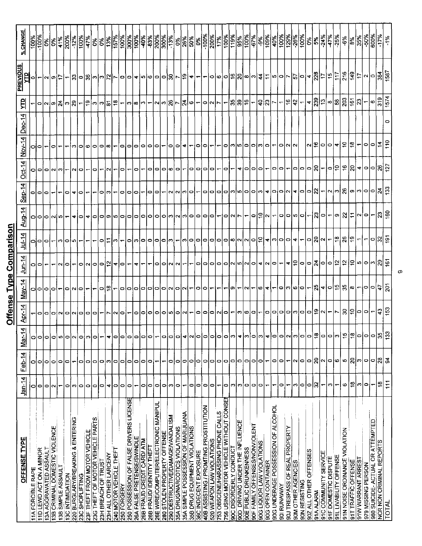|                                                                             |               |                          |                  |                                 | Offense Type             |                                                     | Comparison                                         |                             |                                                    |                                |                          |          |                                                       |                                                           |                                                                                                                 |
|-----------------------------------------------------------------------------|---------------|--------------------------|------------------|---------------------------------|--------------------------|-----------------------------------------------------|----------------------------------------------------|-----------------------------|----------------------------------------------------|--------------------------------|--------------------------|----------|-------------------------------------------------------|-----------------------------------------------------------|-----------------------------------------------------------------------------------------------------------------|
| <u>OFFENSE TYPE</u>                                                         | 4<br>$Jan-1$  | Feb-14                   | 된<br><u>ist</u>  | <b>Apr-14</b>                   | $May-14$                 | un-14                                               | $J$ ul-14                                          | Aug-14                      | 4<br>$Step-1$                                      | $Oct-14$                       | $Nov-14$                 | $Dec-14$ | 릐                                                     | PREVIOUS<br>È                                             | % CHANG                                                                                                         |
| <b>11A FORCIBLE RAPE</b>                                                    | o             | 0                        | o o              |                                 | a o o a                  |                                                     |                                                    |                             |                                                    |                                | 이이                       |          |                                                       |                                                           | $\frac{100\%}{100\%}$                                                                                           |
| 11D LEWD ACT ON A MINOR                                                     | $\circ$       | 0                        |                  |                                 |                          | $ O $ o $ $                                         | 이이아~                                               |                             | 이이어                                                | 아이                             |                          |          |                                                       |                                                           |                                                                                                                 |
| 13A AGGRAVATED ASSAULT                                                      | $\circ$       | $\circ$                  | $\circ$          |                                 |                          |                                                     |                                                    |                             |                                                    |                                |                          |          |                                                       |                                                           |                                                                                                                 |
| 13B CRIMINAL DOMESTIC VIOLENCE                                              | ົ             | $\circ$                  | $\circ$          |                                 |                          |                                                     |                                                    | 000000                      |                                                    | N                              | 0                        |          |                                                       | 이~ ~ 이뭐                                                   |                                                                                                                 |
| 13B SIMPLE ASSAULT<br>13C INTIMIDATION                                      | 0             | ۰<br>۰                   | 5<br>$\circ$     | -oooonon                        |                          | ∾∣೦∣                                                | ကျ<br>0                                            |                             | 0                                                  | ∾                              |                          |          | $ $ ၀ $ $ ၐ $ $ ၈ $ $ ႙ံ $ $ ၐ $ $ ႙ $ $              |                                                           | $ \mathcal{E} $                                                                                                 |
| 220 BURGLARY/BREAKING & ENTERING                                            | ∾             |                          | $\sim$           |                                 |                          |                                                     | Įω,                                                |                             |                                                    |                                |                          |          |                                                       |                                                           |                                                                                                                 |
| 23C SHOPLIFTING                                                             | ۰             | 0                        | $\bullet$        | ЮI                              | O(N O )                  |                                                     |                                                    |                             |                                                    | ∘                              | 0                        |          |                                                       |                                                           | $\frac{128}{100}$                                                                                               |
| 23F THEFT FROM MOTOR VEHICLE                                                | 0             | 0                        | m                | 0101                            |                          | 이씨이어해쉬이                                             |                                                    |                             |                                                    |                                | ۰                        |          | 의이이의ㅎ                                                 |                                                           | 47%                                                                                                             |
| 23G THEFT OF MOTOR VEHICLE PARTS                                            | o             | 0                        | 0                |                                 |                          |                                                     |                                                    |                             |                                                    | 0                              | $\circ$                  |          |                                                       |                                                           | <b>SeO</b>                                                                                                      |
| 23H BREACH OF TRUST                                                         | 0             | 0                        |                  |                                 | ⇔∣≌                      |                                                     | 0                                                  | 0                           |                                                    |                                | $\vert$ o $\vert$ oo     |          |                                                       |                                                           | $\frac{9}{6}$                                                                                                   |
| 23H ALL OTHER LARCENY                                                       | 4             | c                        | 4                |                                 |                          |                                                     |                                                    |                             | ო                                                  |                                |                          |          |                                                       |                                                           | 13%                                                                                                             |
| 240 MOTOR VEHICLE THEFT                                                     | 0             | $\circ$                  | 0                | 1910)                           |                          |                                                     | m                                                  |                             |                                                    |                                |                          |          |                                                       |                                                           | <b>157%</b>                                                                                                     |
| 250 FORGERY                                                                 | ۰             | $\circ$                  | $\circ$          |                                 | o                        |                                                     |                                                    |                             | 0                                                  | 0                              | o,                       |          | ᆔ                                                     |                                                           | $\frac{100\%}{100\%}$                                                                                           |
| 250 POSSESSION OF FALSE DRIVERS LICENSE<br>26A FALSE PRETENSE/SWINDLE       | 0<br>↽        | ۰<br>$\bullet$           | 0<br>0           |                                 | ololololo                | 4<br>$\overline{\phantom{0}}$                       | $\circ$                                            |                             | $\circ$<br>0                                       | 0                              | 이어                       |          | യിയിപ $\vert$ പ                                       |                                                           | 300%<br>100%                                                                                                    |
| 26B FRAUD CREDIT CARD/ ATM                                                  | ۰             | $\circ$                  |                  |                                 |                          |                                                     | က ဝ ဝ                                              |                             |                                                    |                                |                          |          |                                                       |                                                           | $-40%$                                                                                                          |
| 26B FRAUD/ IDENTITY THEFT                                                   | 0             | $\bullet$                | ျင               |                                 |                          |                                                     |                                                    |                             | o,                                                 | ∘                              | 이이어드                     |          |                                                       |                                                           |                                                                                                                 |
| 26E WIRE/COMPUTER/ELECTRONIC MANIPUL                                        | 0             | $\overline{\phantom{0}}$ | ┯                |                                 |                          |                                                     |                                                    |                             | 0                                                  | ∣⇔                             |                          |          |                                                       |                                                           |                                                                                                                 |
| 280 STOLEN PROPERTY OFFENSE                                                 | 0             |                          | ۰                |                                 |                          |                                                     |                                                    |                             |                                                    | 101                            |                          |          |                                                       |                                                           | နှိုနီ နှိုနီ<br> မိုဒ္ဓြိုဒ်                                                                                   |
| 290 DESTRUCTIVE/DAMAGE/VANDALISM                                            | c             | 0                        | o                |                                 |                          |                                                     | ၀ ၀ ၈                                              |                             |                                                    | ΙФ                             | [0 o                     |          |                                                       |                                                           |                                                                                                                 |
| 35A DRUG/NARCOTICS VIOLATIONS                                               | ۰             | ۰                        | 0                |                                 | 0  0  0                  | 000000                                              |                                                    |                             | $\vert \alpha \vert \alpha \vert \varpi \vert$     | $\circ$                        |                          |          | ~ ~ 閑 ~ 치 ~ ~                                         |                                                           | $ \frac{8}{5} $ $\frac{8}{10} $ $\frac{8}{10} $ $\frac{8}{10} $ $\frac{8}{10} $ $\frac{8}{10} $ $\frac{8}{10} $ |
| 35A SIMPLE POSSESSION OF MARIJUANA                                          |               | 0                        | 4                |                                 |                          |                                                     |                                                    |                             |                                                    |                                | 4l                       |          |                                                       |                                                           |                                                                                                                 |
| 35B DRUG EQUIPMENT VIOLATIONS                                               | 0             | 0                        | $\sim$           |                                 | ۳                        |                                                     |                                                    |                             | 0                                                  | ∘                              | ↽                        |          |                                                       |                                                           |                                                                                                                 |
| 36C INDECENT EXPOSURE                                                       | 0             | ۰                        | o                |                                 | olo                      |                                                     |                                                    |                             | $\overline{ }$                                     | 0                              |                          |          |                                                       |                                                           |                                                                                                                 |
| 40B ASSISTING / PROMTING PROSTITUTION                                       | 0             | 0                        | 0                |                                 |                          |                                                     |                                                    |                             | $\circ$                                            | $\circ$                        | 00-                      |          |                                                       |                                                           |                                                                                                                 |
| 520 WEAPON LAW VIOLATIONS                                                   | 0             | 0                        | 0                |                                 |                          |                                                     |                                                    |                             |                                                    | $\bullet$                      |                          |          |                                                       |                                                           |                                                                                                                 |
| 756 USING MOTOR VEHICLE WITHOUT CONSEN<br>753 OBSCENE/HARASSING PHONE CALLS | ۰<br>↽        | 0<br>$\bullet$           | 0<br>0           | 0  0  0  0  0  0  0  0  0  0  0 |                          | ㅇ ㅇ ㅇ ㅇ ㅇ ㅆ ㅆ ㅇ ㅎ ㅆ ㅇ ㅜ ㅎ 우 ㅇ ㅇ ᄎ ㅇ ㅇ 쑤 ♀ 우 ↔ ㅇ ㅆ 워 | ╺┤∾│०│०│०│०│०│०│∾│∾│०│२│ଏ│∾│०│०│ଏ│∼│०│६│∾│∼│≌│६│≌│ |                             |                                                    | O)                             | $\overline{\phantom{a}}$ |          | 이시니~ お 읽는 ~                                           | ၛၟၣၛၛၟႝၯၯၯၟၣၣၣၛၣၜ႞ၜ႞ၜ႞ၛၟၣၟၣၛၣႝၣ႞ၣ႞ၣ႞ၛၣၛၣၜ႞ၛၣႝၣၣၛၣၜ႞ၛၣၜ႞ၛၣ | $\frac{100\%}{100\%}$                                                                                           |
| 90C DISORDERLY CONDUCT                                                      | s.            | 0                        | က                |                                 | o,                       |                                                     |                                                    | O N                         |                                                    |                                |                          |          |                                                       |                                                           | $\frac{100}{1}$                                                                                                 |
| 90D DRIVING UNDER THE INFLUENCE                                             | က             | ∘                        | ¢                |                                 |                          |                                                     |                                                    |                             |                                                    | ᆏ                              |                          |          |                                                       |                                                           | န်း                                                                                                             |
| 90E PUBLIC DRUNKENNESS                                                      | 0             | 0                        | ო                |                                 | N.                       |                                                     |                                                    |                             |                                                    |                                |                          |          |                                                       |                                                           | $\frac{100\%}{100\%}$                                                                                           |
| 90F FAMILY OFFENSES/NONVIOLENT                                              | 0             | 0                        | 0                |                                 | $\overline{\phantom{0}}$ |                                                     |                                                    |                             |                                                    | 0 0 0                          |                          |          |                                                       |                                                           | $-67%$                                                                                                          |
| 90G LIQUOR LAW VIOLATIONS                                                   | 0             | $\circ$                  | ო                |                                 | ا داما                   |                                                     |                                                    |                             |                                                    |                                |                          |          |                                                       |                                                           | $\frac{128}{100}$                                                                                               |
| 90G UNDERAGE POSSESSION OF ALCOHOL<br>90G OPEN CONTAINER                    | T             | ↽                        | d                | ├─│∞│∞│∞│~│∞│∞│∞│∞│∞│∞│∞│∞│∞│∞│ |                          |                                                     |                                                    | ├─│─│은│∾│~│─│─│∞│─│─│─│─│─│ |                                                    |                                | 이이이이이이이~ 이에이             |          | 승  입  ~                                               |                                                           |                                                                                                                 |
| 901 RUNAWAY                                                                 | $\circ$       | $\circ$<br>0             | 0                |                                 |                          |                                                     |                                                    |                             |                                                    | $  \circ   \circ$              |                          |          | $\overline{\phantom{0}}$                              |                                                           |                                                                                                                 |
| 90J TRESPASS OF REAL PROPERTY                                               |               | ↽                        |                  |                                 |                          |                                                     |                                                    |                             |                                                    | $\overline{\phantom{a}}$       |                          |          |                                                       |                                                           | $\frac{12}{100}$                                                                                                |
| <b>90M OTHER AGENCIES</b>                                                   | S             | $\sim$                   | ო                |                                 |                          |                                                     |                                                    |                             |                                                    |                                |                          |          | 위해                                                    |                                                           | $\frac{88}{100}$                                                                                                |
| 90N RESISTING                                                               | 0             | $\circ$                  | 0                |                                 |                          |                                                     |                                                    |                             |                                                    |                                |                          |          |                                                       |                                                           |                                                                                                                 |
| 902 ALL OTHER OFFENSES                                                      | $\circ$       | ۰                        | 0                |                                 |                          |                                                     |                                                    |                             |                                                    |                                |                          |          |                                                       |                                                           |                                                                                                                 |
| <b>BIAALARM</b>                                                             | န္က           | 20                       |                  |                                 |                          |                                                     |                                                    |                             |                                                    |                                |                          |          |                                                       |                                                           |                                                                                                                 |
| 91C COMMUNITY SERVICE                                                       | ↽             | $\sim$                   |                  |                                 |                          |                                                     |                                                    |                             |                                                    |                                | $ a _a $ င် $ a $        |          | ୶ ္လုံု∞ ္မွုဒ္လ                                      |                                                           | <br> နှို့နှို့နှိုင်                                                                                           |
| 91F DOMESTIC DISPUTE                                                        | Ø             | $\circ$                  |                  |                                 |                          |                                                     |                                                    |                             |                                                    |                                |                          |          |                                                       |                                                           |                                                                                                                 |
| 91L LIVABILITY OFFENSE                                                      | ↽             | 6                        |                  |                                 |                          |                                                     |                                                    |                             |                                                    |                                | $\blacktriangledown$     |          |                                                       | $\frac{17}{216}$                                          | $-25%$                                                                                                          |
| 91N NOISE ORDINANCE VIOLATION                                               | $\bullet$     | 5                        |                  |                                 |                          |                                                     |                                                    |                             |                                                    |                                | $\Xi$                    |          |                                                       |                                                           | $-6\%$                                                                                                          |
| 91T TRAFFIC OFFENSE                                                         | $\frac{8}{1}$ | 의                        |                  |                                 |                          |                                                     |                                                    |                             |                                                    |                                | ≌                        |          | ⊵   ∼                                                 |                                                           | ႜႜၟႜႜႜၟ႞ႜၟ႞                                                                                                     |
| 91W WARRANT ARREST                                                          | ကျင           | Þ                        |                  |                                 |                          |                                                     |                                                    |                             |                                                    |                                | ٣                        |          |                                                       |                                                           |                                                                                                                 |
| 979 MISSING PERSON                                                          |               | 0                        |                  |                                 |                          |                                                     |                                                    | 이있는아이다                      |                                                    |                                | ∣ం∣ం                     |          |                                                       |                                                           |                                                                                                                 |
| 980 SUICIDE- ACTUAL OR ATTEMPTED                                            |               | o                        |                  |                                 |                          |                                                     |                                                    |                             |                                                    |                                |                          |          | $\left  \circ \right  _{\mathfrak{D}}^{\mathfrak{D}}$ |                                                           | $\frac{800}{8}$                                                                                                 |
| <b>NCR NON CRIMINAL REPORTS</b><br>TOTAL                                    | 111<br>\$     | ని<br>ă                  | <u>સ્તૃ</u><br>ူ | ခြင်း                           |                          | $\frac{5}{2}$                                       | ~ 이웨흐                                              | ခြ<br> ನಿ                   | ㅇ ㅇ ㅇ ㅆ ㅇ ㅇ ㅆ ★ ㅇ ㅇ ㅆ ★ ㅇ ㅇ % ㅜ ㅆ ㅆ ☆ ∞ ㅇ ㅇ ゐ ☆  ☆ | ㅇ ㅇ ㅇ  워ㅜ ㅇ  위우  유  ㅋ ㅇ  ㅇ  워요 | 110<br> 4                |          | 1574                                                  | 회디어이외증                                                    | $-1\%$                                                                                                          |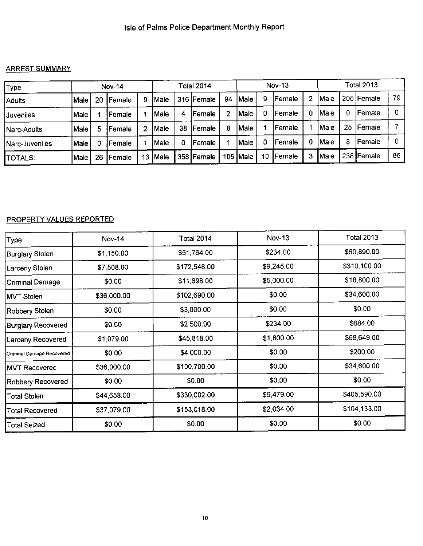## ARREST SUMMARY

| Type]                  |             |    | <b>Nov-14</b> |    |               |    | Total 2014 |    |            |    | $Nov-13$ |   |       |    | Total 2013   |    |
|------------------------|-------------|----|---------------|----|---------------|----|------------|----|------------|----|----------|---|-------|----|--------------|----|
| <b>Adults</b>          | Male        | 20 | Female        | 9  | Male          |    | 316 Female | 94 | Male       | 9  | lFemale  | 2 | lMale |    | 205   Female | 79 |
| <b>Juveniles</b>       | Male        |    | Female        |    | Male          | 4  | Female     |    | Male       |    | Female   | 0 | Male  | 0  | Female       |    |
| Narc-Adults            | Male        | 5  | Female        | 2  | Male          | 38 | Female     | 8  | Male)      |    | Female   |   | Male  | 25 | Female       |    |
| <b>INarc-Juveniles</b> | <b>Male</b> |    | Female        |    | Male          | 0  | Female     |    | Male)      |    | Female   | 0 | lMale | 8  | Female       |    |
| ITOTALS:               | Male        | 26 | Female        | 13 | <b>I</b> Male |    | 358 Female |    | 105 $Male$ | 10 | Female   | 3 | lMale |    | 238 Female   | 86 |

## PROPERTY VALUES REPORTED

| Type                      | <b>Nov-14</b> | <b>Total 2014</b> | <b>Nov-13</b> | <b>Total 2013</b> |
|---------------------------|---------------|-------------------|---------------|-------------------|
| Burglary Stolen           | \$1,150.00    | \$51,764.00       | \$234.00      | \$60,890.00       |
| Larceny Stolen            | \$7,508.00    | \$172,548.00      | \$9,245.00    | \$310,100.00      |
| Criminal Damage           | \$0.00        | \$11,698.00       | \$5,000.00    | \$18,800.00       |
| MVT Stolen                | \$36,000.00   | \$102,690.00      | \$0.00        | \$34,600.00       |
| Robbery Stolen            | \$0.00        | \$3,000.00        | \$0.00        | \$0.00            |
| Burglary Recovered        | \$0.00        | \$2,500.00        | \$234.00      | \$684.00          |
| <b>Larceny Recovered</b>  | \$1,079.00    | \$45,818.00       | \$1,800.00    | \$68,649.00       |
| Criminal Damage Recovered | \$0.00        | \$4,000.00        | \$0.00        | \$200.00          |
| <b>MVT Recovered</b>      | \$36,000.00   | \$100,700.00      | \$0.00        | \$34,600.00       |
| <b>Robbery Recovered</b>  | \$0.00        | \$0.00            | \$0.00        | \$0.00            |
| Total Stolen              | \$44,658.00   | \$330,002.00      | \$9,479.00    | \$405,590.00      |
| Total Recovered           | \$37,079.00   | \$153,018.00      | \$2,034.00    | \$104,133.00      |
| Total Seized              | \$0.00        | \$0.00            | \$0.00        | \$0.00            |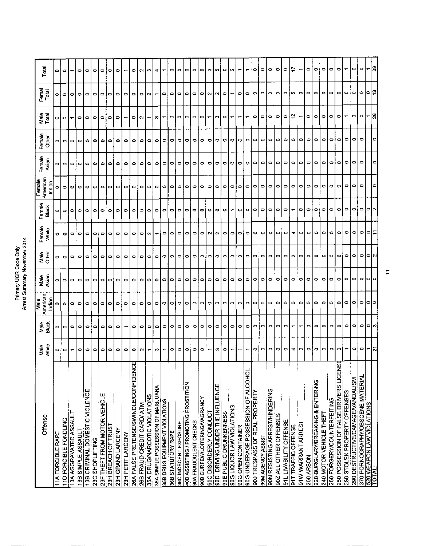# Primary UCR Code Only<br>Arrest Summary November 2014

| Offense                                      | Male<br>White | Male<br>Black | Male               | Male<br>Asian | Male<br>Other | Female<br>White | Female<br>Black | American<br>Female | Female    | Female<br>Other | Male<br>Total | Femal<br>Total | Total     |
|----------------------------------------------|---------------|---------------|--------------------|---------------|---------------|-----------------|-----------------|--------------------|-----------|-----------------|---------------|----------------|-----------|
|                                              |               |               | American<br>Indiar |               |               |                 |                 | Indiar             | Asian     |                 |               |                |           |
| <b>TIA FORCIBLE RAPE</b>                     | ۰             | ۰             | 0                  | 0             | ۰             | ۰               |                 |                    | ۰         |                 | 0             |                | ۰         |
| 11D FORCIBLE FONDLING                        | ۰             | $\bullet$     | ۰                  | $\bullet$     | $\bullet$     | $\circ$         | $\circ$         | $\bullet$          | $\bullet$ | $\circ$         | $\circ$       | ۰              | ۰         |
| 13A AGGRAVATED ASSAULT                       |               | $\circ$       | ۰                  | $\circ$       | $\bullet$     | $\circ$         | ۰               | ۰                  | $\circ$   | $\circ$         |               | ۰              |           |
| 13B SIMPLE ASSAULT                           | ۰             | ۰             | ۰                  | $\circ$       | o             | ۰               | ۰               | ۰                  | $\circ$   | ۰               | $\circ$       | ۰              | ۰         |
| 13B CRIMINAL DOMESTIC VIOLENCE               | ۰             | ۰             | o                  | $\circ$       | ۰             | ۰               | ٥               | ۰                  | $\bullet$ | $\bullet$       | $\bullet$     | ۰              | $\bullet$ |
| 23C SHOPLIFTING                              | ۰             | ۰             | 0                  | $\circ$       | $\bullet$     | ۰               | 0               | ۰                  | $\circ$   | $\bullet$       | $\circ$       | ۰              | $\bullet$ |
| 23F THEFT FROM MOTOR VEHICLE                 | ۰             | ۰             | ۰                  | $\circ$       | 0             | ۰               | ۰               | ۰                  | ۰         | ۰               | ۰             | 0              | ۰         |
| 23H BREACH OF TRUST                          | ۰             | ۰             | ۰                  | $\circ$       | ۰             | ۰               | ۰               | ۰                  | $\circ$   | $\circ$         | ۰             | ۰              | ۰         |
| 23H GRAND LARCENY                            | 0             | ۰             | ۰                  | $\circ$       | ۰             | ۰               | ۰               | o                  | $\circ$   | $\circ$         | ۰             | ۰              | $\circ$   |
| 23H PETIT LARCENY                            | ۰             |               | 0                  | ۰             | 0             | ۰               | ۰               | 0                  | ۰         | ۰               |               | 0              |           |
| प्तु<br>26A FALSE PRETENSE/SWINDLE/CONFIDEN  | ۰             | ۰             | ۰                  | $\circ$       | ۰             | ۰               | ۰               | 0                  | $\bullet$ | ۰               | ۰             | 0              | 0         |
| 26B FRAUD CREDIT CARD/ ATM                   | ∾             | ۰             | ۰                  | $\circ$       | ۰             | ۰               | ۰               | ۰                  | $\circ$   | o               | $\sim$        | ۰              | $\sim$    |
| 35A DRUG/NARCOTIC VIOLATIONS                 |               | ۰             | ۰                  | $\circ$       | ۰             | $\sim$          | 0               | o                  | ۰         | O               |               | Ν              | e.        |
| 35A SIMPLE POSSESSION OF MARIJUANA           | c             | ۰             | ۰                  | ۰             | ۰             |                 | 0               | 0                  | $\circ$   | ۰               | c             |                | ÷         |
| 35B DRUG EQUIPMENT VIOLATIONS                |               | ۰             | ۰                  | ۰             | ۰             | ۰               | ۰               | 0                  | $\circ$   | ۰               |               | ۰              |           |
| 36B STATUTORY RAPE                           | ۰             | $\circ$       | ۰                  | ۰             | ۰             | ۰               | ۰               | 0                  | $\bullet$ | 0               | 0             | ۰              | ۰         |
| 36C INDECENT EXPOSURE                        | o             | 0             | ۰                  | ۰             | ۰             | 0               | ۰               | $\circ$            | $\circ$   | ۰               | 0             | o              | $\bullet$ |
| 40B ASSISTING / PROMOTING PROSTITION         | ۰             | ۰             | ۰                  | ۰             | ۰             | ۰               | ۰               | ۰                  | ۰         | ۰               | ۰             | o              | ۰         |
| 90A FRAUDULENT CHECKS                        | 0             | 0             | ۰                  | ۰             | 0             | 0               | 0               | ۰                  | ۰         | 0               | ۰             | 0              | ۰         |
| 90B CURFEWILOITERING/VAGRANCY                | ۰             | $\circ$       | ۰                  | $\bullet$     | 0             | ۰               | ۰               | ۰                  | ۰         | ۰               | ۰             | ۰              | 0         |
| 90C DISORDERLY CONDUCT                       |               | $\bullet$     | ۰                  | ۰             | 0             | N               | ۰               | $\circ$            | ۰         | ۰               |               | N              | <b>CO</b> |
| 90D DRIVING UNDER THE INFLUENCE              | m             | ۰             | ۰                  | $\bullet$     | o             | ∾               | ۰               | ۰                  | ۰         | ۰               | n             | $\sim$         | ю         |
| 90E PUBLIC DRUNKENNESS                       | ۰             | ۰             | ۰                  | ۰             | 0             | ۰               | ۰               | ۰                  | $\circ$   | ۰               | ۰             | o              | ۰         |
| 90G LIQUOR LAW VIOLATIONS                    |               | ۰             | ۰                  | ۰             | $\circ$       | ۰               |                 | $\circ$            | ۰         | ۰               |               |                | $\sim$    |
| 90G OPEN CONTAINER                           |               | $\circ$       | ۰                  | ۰             | 0             | ۰               | ۰               | ۰                  | ۰         | ۰               |               | ۰              |           |
| 90G UNDERAGE POSSESSION OF ALCOHOL           |               | 0             | $\bullet$          | ۰             | 0             | ۰               | o               | 0                  | ۰         | ۰               |               | ۰              |           |
| 90J TRESPASS OF REAL PROPERTY                | ۰             | 0             | ۰                  | ۰             | 0             | 0               | $\circ$         | $\circ$            | ۰         | ۰               | ۰             | ۰              | ۰         |
| 90M AGENCY ASSIST                            | $\circ$       | $\circ$       | $\bullet$          | ۰             | $\circ$       | ۰               | $\circ$         | $\circ$            | $\circ$   | ۰               | 0             | ۰              | ۰         |
| 90N RESISTING ARREST/HINDERING               | ۰             | ۰             | ۰                  | ۰             | 0             | ۰               | ۰               | ۰                  | o         | ۰               | $\circ$       | o              | ۰         |
| 90Z ALL OTHER OFFENSES                       | ۰             | ۰             | ۰                  | ۰             | 0             | o               | ۰               | ۰                  | 0         | ۰               | 0             | ۰              | 0         |
| 91L LIVABILITY OFFENSE                       | ۰             | $\circ$       | ۰                  | ۰             | ۰             | $\circ$         | ۰               | 0                  | ۰         | ۰               | ۰             | ۰              | ٥         |
| 91T TRAFFIC OFFENSE                          | 4             |               | $\circ$            | ۰             | N             | 4               |                 | 0                  | o         | ۰               | ု့            | in.            |           |
| 91W WARRANT ARREST                           | ۰             |               | ۰                  | ۰             | $\circ$       | ۰               | ۰               | ۰                  | $\circ$   | ۰               |               | $\bullet$      |           |
| 200 ARSON                                    | ۰             | 0             | ۰                  | 0             | ۰             | 0               | $\circ$         | ۰                  | 0         | ۰               | ۰             | $\bullet$      | ۰         |
| 220 BURGLARY/BREAKING & ENTERING             | ۰             | ۰             | ۰                  | ۰             | 0             | ٥               | ۰               | ۰                  | ۰         | ۰               | ۰             | ۰              | ۰         |
| 240 MOTOR VEHICLE THEFT                      | ۰             | ۰             | ۰                  | 0             | ۰             | ۰               | ۰               | ۰                  | ۰         | ۰               | ۰             | ۰              | ۰         |
| 250 FORGERY/COUNTERFEITING                   | ۰             | ۰             | ۰                  | ۰             | ۰             | ۰               | ۰               | ۰                  | ۰         | $\circ$         | ۰             | o              | ۰         |
| ट्ट<br>250 POSSESSION OF FALSE DRIVERS LICEN | $\circ$       | ۰             | ۰                  | $\circ$       | ۰             | ۰               | ۰               | ۰                  | ۰         | ۰               | $\circ$       | $\circ$        | ۰         |
| 280 STOLEN PROPERTY OFFENSES                 |               | $\circ$       | ۰                  | ۰             | ۰             | ۰               | $\circ$         | 0                  | ۰         | ۰               |               | ۰              |           |
| 290 DESTRUCTIVE/DAMAGE/VANDALISM             | o             | $\circ$       | ۰                  | 0             | ۰             | ۰               | $\circ$         | 0                  | ۰         | ۰               | ۰             | $\circ$        | ۰         |
| 370 PORNOGRAPHY/OBSCENE MATERIAL             | $\circ$       | $\circ$       | $\circ$            | $\circ$       | $\circ$       |                 | O[ON]           | 0                  | $\circ$   | ۰               | ۰             | $\circ$        | $\circ$   |
| 520 WEAPON LAW VIOLATIONS<br>TOTAL:          |               | ∣ဝ က          | ۰                  | ∘             | $\circ$       | 이어드             |                 |                    |           |                 |               | ۰              |           |
|                                              | ম             |               |                    |               |               |                 |                 |                    |           | ۰               | 26            |                | ္ဂ        |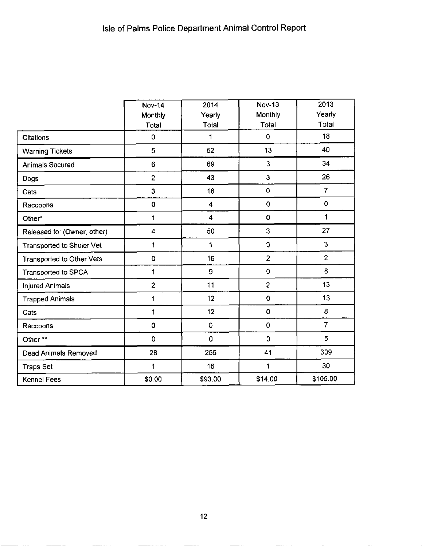<u> 1990 - Jan Salaman, manazarta a</u>

|                                  | <b>Nov-14</b><br>Monthly | 2014<br>Yearly     | <b>Nov-13</b><br>Monthly | 2013<br>Yearly |
|----------------------------------|--------------------------|--------------------|--------------------------|----------------|
|                                  | Total                    | Total              | Total                    | Total          |
| Citations                        | 0                        | 1                  | 0                        | 18             |
| <b>Warning Tickets</b>           | 5                        | 52                 | 13                       | 40             |
| <b>Animals Secured</b>           | 6                        | 69                 | 3                        | 34             |
| Dogs                             | $\overline{2}$           | 43                 | 3                        | 26             |
| Cats                             | 3                        | 18                 | 0                        | $\overline{7}$ |
| Raccoons                         | $\mathbf 0$              | 4                  | 0                        | $\mathbf 0$    |
| Other*                           | 1                        | 4                  | $\mathbf 0$              | 1              |
| Released to: (Owner, other)      | 4                        | 50                 | 3                        | 27             |
| <b>Transported to Shuler Vet</b> | 1                        | 1                  | 0                        | $\mathbf{3}$   |
| Transported to Other Vets        | 0                        | 16                 | $\overline{2}$           | $\overline{2}$ |
| Transported to SPCA              | 1                        | 9                  | 0                        | 8              |
| <b>Injured Animals</b>           | $\overline{2}$           | 11                 | $\overline{c}$           | 13             |
| <b>Trapped Animals</b>           | 1                        | 12                 | $\mathbf 0$              | 13             |
| Cats                             | 1                        | 12                 | $\mathbf 0$              | 8              |
| Raccoons                         | 0                        | 0                  | 0                        | $\overline{7}$ |
| Other**                          | 0                        | $\pmb{\mathsf{O}}$ | 0                        | 5              |
| <b>Dead Animals Removed</b>      | 28                       | 255                | 41                       | 309            |
| <b>Traps Set</b>                 | $\overline{\mathbf{1}}$  | 16                 | 1                        | 30             |
| Kennel Fees                      | \$0.00                   | \$93.00            | \$14.00                  | \$105.00       |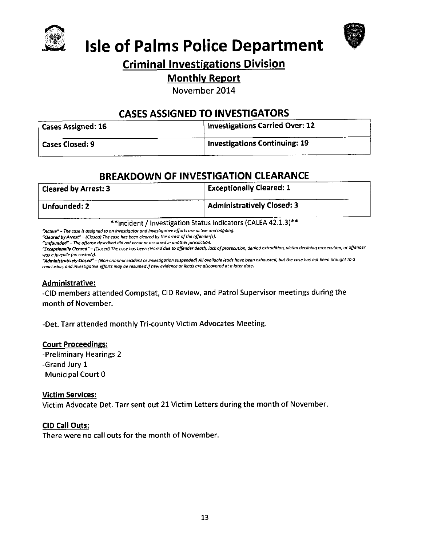



# **Isle of Palms Police Department**

# **Criminal Investigations Division**

## **Monthly Report**

November 2014

# **CASES ASSIGNED TO INVESTIGATORS**

| Cases Assigned: 16 | Investigations Carried Over: 12      |
|--------------------|--------------------------------------|
| Cases Closed: 9    | <b>Investigations Continuing: 19</b> |

# **BREAKDOWN OF INVESTIGATION CLEARANCE**

| <b>Cleared by Arrest: 3</b> | <b>Exceptionally Cleared: 1</b>   |
|-----------------------------|-----------------------------------|
| Unfounded: 2                | <b>Administratively Closed: 3</b> |

\*\* Incident / Investigation Status Indicators (CALEA 42.1.3)\*\*

"Active" - The case is assigned to an investigator and investigative efforts are active and ongoing.

"Cleared by Arrest" - (Closed) The case has been cleared by the arrest of the offender(s).

"Unfounded" - The offense described did not occur or occurred in another jurisdiction.

"Exceptionally Cleared" - (Closed) The case has been cleared due to offender death, lack of prosecution, denied extradition, victim declining prosecution, or offender was a juvenile (no custody).

"Administratively Closed" – (Non-criminal incident or investigation suspended) All available leads have been exhausted, but the case has not been brought to a conclusion, and investigative efforts may be resumed if new evidence or leads are discovered at a later date.

### **Administrative:**

-CID members attended Compstat, CID Review, and Patrol Supervisor meetings during the month of November.

-Det. Tarr attended monthly Tri-county Victim Advocates Meeting.

## **Court Proceedings:**

-Preliminary Hearings 2 -Grand Jury 1 -Municipal Court 0

## **Victim Services:**

Victim Advocate Det. Tarr sent out 21 Victim Letters during the month of November.

## **CID Call Outs:**

There were no call outs for the month of November.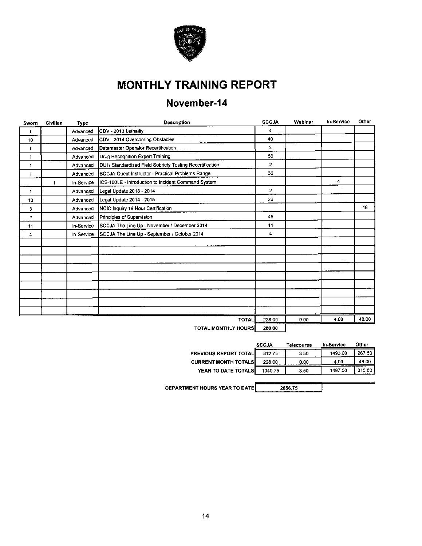

# **MONTHLY TRAINING REPORT**

# November-14

| Sworn        | Civilian     | Type       | Description                                               | <b>SCCJA</b>        | Webinar | In-Service | Other |
|--------------|--------------|------------|-----------------------------------------------------------|---------------------|---------|------------|-------|
| 1            |              | Advanced   | CDV - 2013 Lethality                                      | 4                   |         |            |       |
| 10           |              | Advanced   | CDV - 2014 Overcoming Obstacles                           | 40                  |         |            |       |
| 1            |              | Advanced   | Datamaster Operator Recertification                       | $\mathbf{2}$        |         |            |       |
| $\mathbf{1}$ |              | Advanced   | Drug Recognition Expert Training                          | 56                  |         |            |       |
| 1            |              | Advanced   | DUI / Standardized Field Sobriety Testing Recertification | $\overline{2}$      |         |            |       |
| $\ddagger$   |              | Advanced   | SCCJA Guest Instructor - Practical Problems Range         | 36                  |         |            |       |
|              | $\mathbf{1}$ | In-Service | ICS-100LE - Introduction to Incident Command System       |                     |         | 4          |       |
| 1.           |              | Advanced   | Legal Update 2013 - 2014                                  | $\overline{2}$      |         |            |       |
| 13           |              | Advanced   | Legal Update 2014 - 2015                                  | 26                  |         |            |       |
| 3            |              | Advanced   | NCIC Inquiry 16 Hour Certification                        |                     |         |            | 43    |
| 2            |              | Advanced   | Principles of Supervision                                 | 45                  |         |            |       |
| 11           |              | In-Service | SCCJA The Line Up - November / December 2014              | 11                  |         |            |       |
| 4            |              | In-Service | SCCJA The Line Up - September / October 2014              | $\overline{\bf{4}}$ |         |            |       |
|              |              |            |                                                           |                     |         |            |       |
|              |              |            |                                                           |                     |         |            |       |
|              |              |            |                                                           |                     |         |            |       |
|              |              |            |                                                           |                     |         |            |       |
|              |              |            |                                                           |                     |         |            |       |
|              |              |            |                                                           |                     |         |            |       |
|              |              |            |                                                           |                     |         |            |       |
|              |              |            |                                                           |                     |         |            |       |
|              |              |            |                                                           |                     |         |            |       |
|              |              |            | <b>TOTAL</b>                                              | 228.00              | 0.00    | 4.00       | 48.00 |
|              |              |            | TATAL BASITU VILAUDA                                      | 600.AG              |         |            |       |

TOTAL MONTHLY HOURS | 280.00

|                             | <b>SCCJA</b> | Telecourse | In Service | Other  |
|-----------------------------|--------------|------------|------------|--------|
| PREVIOUS REPORT TOTAL       | 812.75       | 3.50       | 1493.00    | 267.50 |
| <b>CURRENT MONTH TOTALS</b> | 228.00       | 0.00       | 4.00       | 48.00  |
| YEAR TO DATE TOTALS         | 1040.75      | 3.50       | 1497.00    | 315.50 |

DEPARTMENT HOURS YEAR TO DATE

2856.75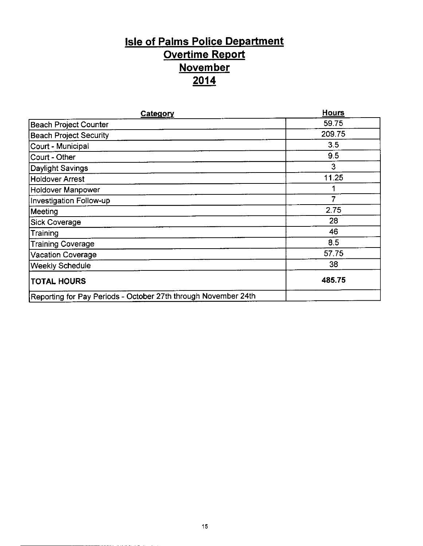# Isle of Paims Police Department Overtime Report **November** 2014

| Category                                                       | <b>Hours</b> |
|----------------------------------------------------------------|--------------|
| Beach Project Counter                                          | 59.75        |
| <b>Beach Project Security</b>                                  | 209.75       |
| Court - Municipal                                              | 3.5          |
| Court - Other                                                  | 9.5          |
| Daylight Savings                                               | 3            |
| Holdover Arrest                                                | 11.25        |
| <b>Holdover Manpower</b>                                       |              |
| Investigation Follow-up                                        | 7            |
| Meeting                                                        | 2.75         |
| <b>Sick Coverage</b>                                           | 28           |
| Training                                                       | 46           |
| <b>Training Coverage</b>                                       | 8.5          |
| <b>Vacation Coverage</b>                                       | 57.75        |
| <b>Weekly Schedule</b>                                         | 38           |
| <b>TOTAL HOURS</b>                                             | 485.75       |
| Reporting for Pay Periods - October 27th through November 24th |              |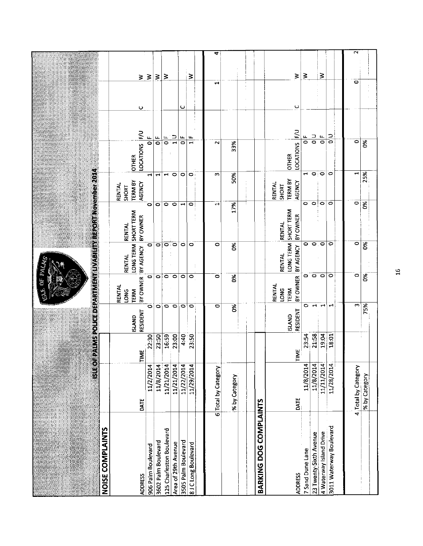| NOISE COMPLAINTS              | $\frac{6}{2}$       |       |                           |                                                         |                                                    | s vyukszollegozpymokai unyvia uvojnymokszos povembezoró |                                                    |                                  |                   |                |                 |
|-------------------------------|---------------------|-------|---------------------------|---------------------------------------------------------|----------------------------------------------------|---------------------------------------------------------|----------------------------------------------------|----------------------------------|-------------------|----------------|-----------------|
|                               | DATE                | TIME  | RESIDENT<br><b>ISLAND</b> | RENTAL<br>LONG<br>TERM                                  | LONG TERM<br>BY OWNER   BY AGENCY<br><b>RENTAL</b> | SHORT TERM<br>BY OWNER<br><b>RENTAL</b>                 | <b>TERM BY</b><br>AGENCY<br>RENTAL<br><b>SHORT</b> | LOCATIONS   F/U<br><b>OTHER</b>  | ပ                 |                | ₹               |
| 906 Palm Boulevard            | 11/2/2014           | 22:30 | $\circ$                   | $\bullet$                                               | $\circ$                                            |                                                         | $\blacktriangleleft$<br>$\bullet$                  | $\frac{1}{\mathbf{O}}$           |                   |                | $\geq$          |
| 3602 Palm Boulevard           | 11/8/2014           | 23:50 | $\ddot{\bullet}$          | $\circ$                                                 | $\overline{\bullet}$                               |                                                         | 1<br>$\circ$                                       | $\frac{1}{\sigma}$               |                   | $\geq$         |                 |
| 125 Charleston Boulevard      | 11/21/2014          | 16:59 | $\overline{\bullet}$      | $\bullet$                                               |                                                    |                                                         | $\blacksquare$<br>$\circ$                          | $\frac{1}{\sigma}$               |                   |                | 3               |
| Area of 29th Avenue           | 11/21/2014          | 23:00 | $\circ$                   | ం                                                       | $\overline{\bullet}$ . $\overline{\bullet}$        |                                                         | $\circ$<br>$\circ$                                 | $\frac{1}{1}$                    |                   |                |                 |
| 3505 Palm Boulevard           | 11/22/2014          | 4:40  | $\circ$                   | 0                                                       | $\bullet$                                          |                                                         | 0<br>$\overline{\phantom{0}}$                      | $\frac{1}{\sigma}$               | ပ                 |                |                 |
| 81C Long Boulevard            | 11/29/2014          | 23:50 | $\circ$                   | $\circ$                                                 | ۰<br>÷                                             |                                                         | 0<br>$\circ$                                       | щ<br>$\overline{\phantom{0}}$    |                   |                | ₹               |
|                               | 6 Total by Category |       | 0                         | 0                                                       | $\bullet$                                          |                                                         | m<br>H                                             | $\sim$                           |                   | H              | 4               |
|                               |                     |       |                           |                                                         |                                                    |                                                         |                                                    |                                  |                   |                |                 |
|                               | % by Category       |       | Š                         | š                                                       | క                                                  | 17%                                                     | 50%                                                | 33%                              |                   | $\ddot{\cdot}$ |                 |
| <b>BARKING DOG COMPLAINTS</b> |                     |       |                           |                                                         |                                                    |                                                         |                                                    |                                  |                   |                |                 |
|                               | DATE                | TIME  | RESIDENT<br><b>ISLAND</b> | BY OWNER<br><b>RENTAL</b><br><b>LONG</b><br><b>TERM</b> | LONG TERM<br>BY AGENCY<br><b>RENTAL</b>            | SHORT TERM<br>BY OWNER<br><b>RENTAL</b>                 | <b>TERM BY</b><br>AGENCY<br>RENTAL<br>SHORT        | <b>LOCATIONS</b><br><b>OTHER</b> | $\circ$<br>$\geq$ |                | ≩               |
| 7 Sand Dune Lane              | 11/8/2014           | 23:54 | ۰                         |                                                         | ۰                                                  |                                                         | H<br>0                                             | $\overline{\bullet}$             | u.                |                | Ξ               |
| 23 Twenty-Sixth Avenue        | 11/8/2014           | 21:58 | $\overline{\phantom{0}}$  | $\circ$ $\circ$                                         | $\circ$                                            |                                                         | $\circ$<br>$\circ$                                 | $\frac{1}{\mathsf{d}}$           |                   |                |                 |
| 4 Waterway Island Drive       | 11/11/2014          | 19:04 | $\overline{\phantom{0}}$  | $\circ$                                                 | $\sim$                                             |                                                         | $\overline{\phantom{a}}$<br>$\circ$                | $\mu$<br>$\overline{\bullet}$    |                   |                | ⋧               |
| 3011 Waterway Boulevard       | 11/28/2014          | 18:01 | ᆏ                         | 0                                                       | 0                                                  |                                                         | 0<br>$\circ$                                       | $\overline{\bullet}$             | 2                 |                |                 |
|                               | 4 Total by Category |       | m                         | $\circ$                                                 | $\circ$                                            |                                                         | $\mathbf{\mathbf{t}}$<br>$\circ$                   | $\circ$                          |                   | 0              | $\mathbf{\sim}$ |
|                               | % by Category       |       | 75%                       | Š.                                                      | $\frac{8}{5}$                                      | $\infty$                                                | 25%                                                | δŔ                               |                   |                |                 |